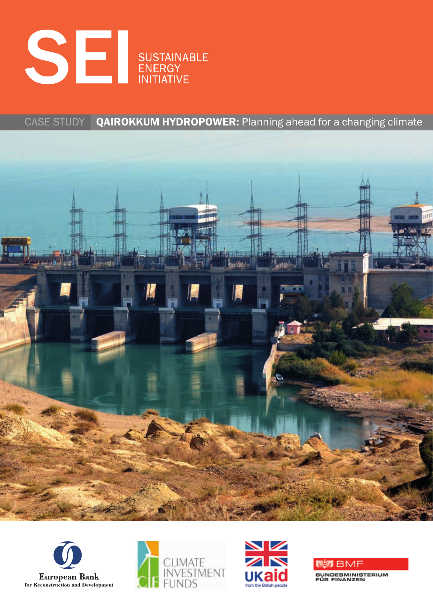

## CASE STUDY QAIROKKUM HYDROPOWER: Planning ahead for a changing climate









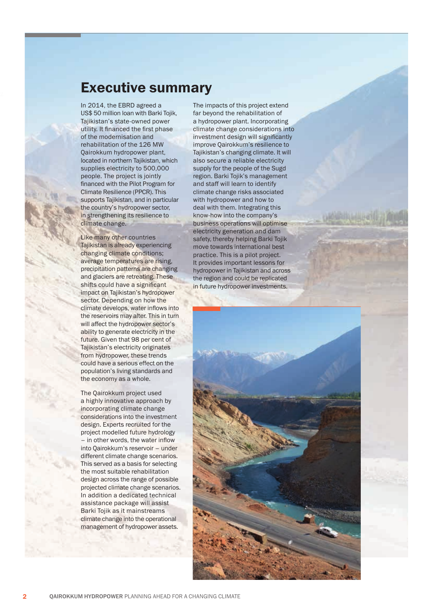## **Executive summary**

In 2014, the EBRD agreed a US\$ 50 million loan with Barki Tojik, Tajikistan's state-owned power utility. It financed the first phase of the modernisation and rehabilitation of the 126 MW Qairokkum hydropower plant, located in northern Tajikistan, which supplies electricity to 500,000 people. The project is jointly financed with the Pilot Program for Climate Resilience (PPCR). This supports Tajikistan, and in particular the country's hydropower sector, in strengthening its resilience to climate change.

Like many other countries Tajikistan is already experiencing changing climate conditions; average temperatures are rising, precipitation patterns are changing and glaciers are retreating. These shifts could have a significant impact on Tajikistan's hydropower sector. Depending on how the climate develops, water inflows into the reservoirs may alter. This in turn will affect the hydropower sector's ability to generate electricity in the future. Given that 98 per cent of Tajikistan's electricity originates from hydropower, these trends could have a serious effect on the population's living standards and the economy as a whole.

The Qairokkum project used a highly innovative approach by incorporating climate change considerations into the investment design. Experts recruited for the project modelled future hydrology  $-$  in other words, the water inflow into Qairokkum's reservoir – under different climate change scenarios. This served as a basis for selecting the most suitable rehabilitation design across the range of possible projected climate change scenarios. In addition a dedicated technical assistance package will assist Barki Tojik as it mainstreams climate change into the operational management of hydropower assets.

The impacts of this project extend far beyond the rehabilitation of a hydropower plant. Incorporating climate change considerations into investment design will significantly improve Qairokkum's resilience to Tajikistan's changing climate. It will also secure a reliable electricity supply for the people of the Sugd region. Barki Tojik's management and staff will learn to identify climate change risks associated with hydropower and how to deal with them. Integrating this know-how into the company's business operations will optimise electricity generation and dam safety, thereby helping Barki Tojik move towards international best practice. This is a pilot project. It provides important lessons for hydropower in Tajikistan and across the region and could be replicated in future hydropower investments.

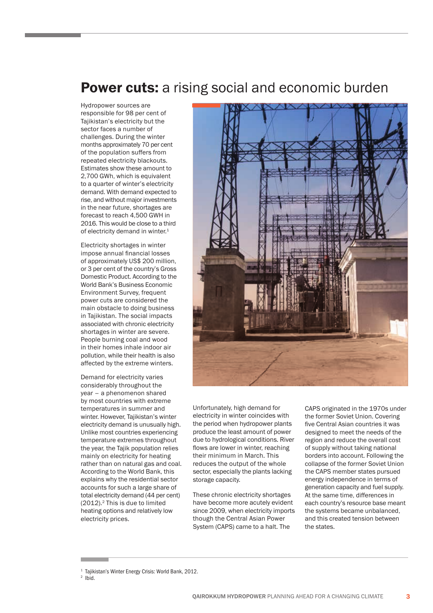## Power cuts: a rising social and economic burden

Hydropower sources are responsible for 98 per cent of Tajikistan's electricity but the sector faces a number of challenges. During the winter months approximately 70 per cent of the population suffers from repeated electricity blackouts. Estimates show these amount to 2,700 GWh, which is equivalent to a quarter of winter's electricity demand. With demand expected to rise, and without major investments in the near future, shortages are forecast to reach 4,500 GWH in 2016. This would be close to a third of electricity demand in winter.<sup>1</sup>

Electricity shortages in winter impose annual financial losses of approximately US\$ 200 million, or 3 per cent of the country's Gross Domestic Product. According to the World Bank's Business Economic Environment Survey, frequent power cuts are considered the main obstacle to doing business in Tajikistan. The social impacts associated with chronic electricity shortages in winter are severe. People burning coal and wood in their homes inhale indoor air pollution, while their health is also affected by the extreme winters.

Demand for electricity varies considerably throughout the year – a phenomenon shared by most countries with extreme temperatures in summer and winter. However, Tajikistan's winter electricity demand is unusually high. Unlike most countries experiencing temperature extremes throughout the year, the Tajik population relies mainly on electricity for heating rather than on natural gas and coal. According to the World Bank, this explains why the residential sector accounts for such a large share of total electricity demand (44 per cent)  $(2012).<sup>2</sup>$  This is due to limited heating options and relatively low electricity prices.



Unfortunately, high demand for electricity in winter coincides with the period when hydropower plants produce the least amount of power due to hydrological conditions. River flows are lower in winter, reaching their minimum in March. This reduces the output of the whole sector, especially the plants lacking storage capacity.

These chronic electricity shortages have become more acutely evident since 2009, when electricity imports though the Central Asian Power System (CAPS) came to a halt. The

CAPS originated in the 1970s under the former Soviet Union. Covering five Central Asian countries it was designed to meet the needs of the region and reduce the overall cost of supply without taking national borders into account. Following the collapse of the former Soviet Union the CAPS member states pursued energy independence in terms of generation capacity and fuel supply. At the same time, differences in each country's resource base meant the systems became unbalanced, and this created tension between the states.

<sup>1</sup> Tajikistan's Winter Energy Crisis: World Bank, 2012.

<sup>2</sup> Ibid.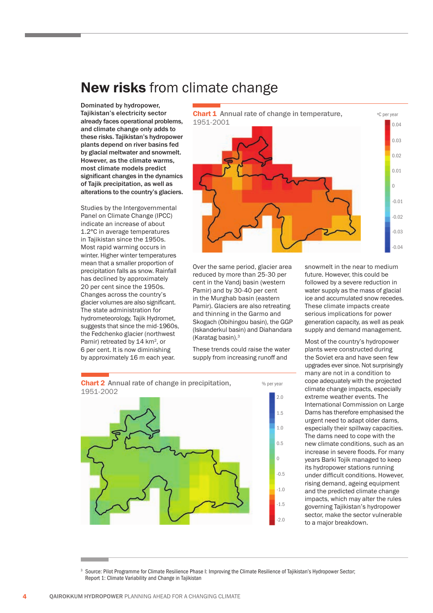## New risks from climate change

Dominated by hydropower, Tajikistan's electricity sector already faces operational problems, and climate change only adds to these risks. Tajikistan's hydropower plants depend on river basins fed by glacial meltwater and snowmelt. However, as the climate warms, most climate models predict significant changes in the dynamics of Tajik precipitation, as well as alterations to the country's glaciers.

Studies by the Intergovernmental Panel on Climate Change (IPCC) indicate an increase of about 1.2°C in average temperatures in Tajikistan since the 1950s. Most rapid warming occurs in winter. Higher winter temperatures mean that a smaller proportion of precipitation falls as snow. Rainfall has declined by approximately 20 per cent since the 1950s. Changes across the country's glacier volumes are also significant. The state administration for hydrometeorology, Tajik Hydromet, suggests that since the mid-1960s, the Fedchenko glacier (northwest Pamir) retreated by 14 km<sup>2</sup>, or 6 per cent. It is now diminishing by approximately 16 m each year.



Over the same period, glacier area reduced by more than 25-30 per cent in the Vandj basin (western Pamir) and by 30-40 per cent in the Murghab basin (eastern Pamir). Glaciers are also retreating and thinning in the Garmo and Skogach (Obihingou basin), the GGP (Iskanderkul basin) and Diahandara (Karatag basin).3

These trends could raise the water supply from increasing runoff and

snowmelt in the near to medium future. However, this could be followed by a severe reduction in water supply as the mass of glacial ice and accumulated snow recedes. These climate impacts create serious implications for power generation capacity, as well as peak supply and demand management.

Most of the country's hydropower plants were constructed during the Soviet era and have seen few upgrades ever since. Not surprisingly many are not in a condition to cope adequately with the projected climate change impacts, especially extreme weather events. The International Commission on Large Dams has therefore emphasised the urgent need to adapt older dams, especially their spillway capacities. The dams need to cope with the new climate conditions, such as an increase in severe floods. For many years Barki Tojik managed to keep its hydropower stations running under difficult conditions. However, rising demand, ageing equipment and the predicted climate change impacts, which may alter the rules governing Tajikistan's hydropower sector, make the sector vulnerable to a major breakdown.



3 Source: Pilot Programme for Climate Resilience Phase I: Improving the Climate Resilience of Tajikistan's Hydropower Sector; Report 1: Climate Variability and Change in Tajikistan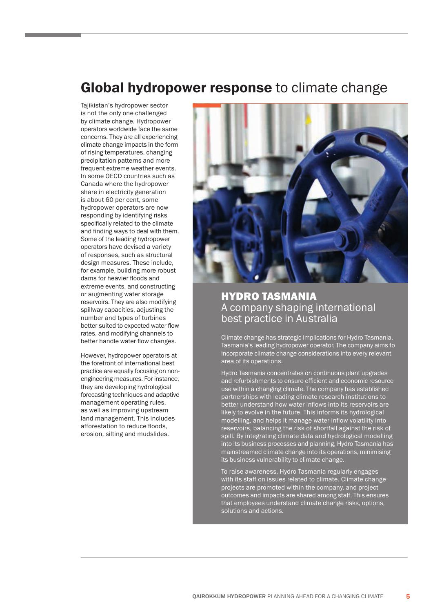## Global hydropower response to climate change

Tajikistan's hydropower sector is not the only one challenged by climate change. Hydropower operators worldwide face the same concerns. They are all experiencing climate change impacts in the form of rising temperatures, changing precipitation patterns and more frequent extreme weather events. In some OECD countries such as Canada where the hydropower share in electricity generation is about 60 per cent, some hydropower operators are now responding by identifying risks specifically related to the climate and finding ways to deal with them. Some of the leading hydropower operators have devised a variety of responses, such as structural design measures. These include, for example, building more robust dams for heavier floods and extreme events, and constructing or augmenting water storage reservoirs. They are also modifying spillway capacities, adjusting the number and types of turbines better suited to expected water flow rates, and modifying channels to better handle water flow changes.

However, hydropower operators at the forefront of international best practice are equally focusing on nonengineering measures. For instance, they are developing hydrological forecasting techniques and adaptive management operating rules, as well as improving upstream land management. This includes afforestation to reduce floods, erosion, silting and mudslides.



## HYDRO TASMANIA A company shaping international best practice in Australia

Climate change has strategic implications for Hydro Tasmania, Tasmania's leading hydropower operator. The company aims to incorporate climate change considerations into every relevant area of its operations.

Hydro Tasmania concentrates on continuous plant upgrades and refurbishments to ensure efficient and economic resource use within a changing climate. The company has established partnerships with leading climate research institutions to better understand how water inflows into its reservoirs are likely to evolve in the future. This informs its hydrological modelling, and helps it manage water inflow volatility into reservoirs, balancing the risk of shortfall against the risk of spill. By integrating climate data and hydrological modelling into its business processes and planning, Hydro Tasmania has mainstreamed climate change into its operations, minimising its business vulnerability to climate change.

To raise awareness, Hydro Tasmania regularly engages with its staff on issues related to climate. Climate change projects are promoted within the company, and project outcomes and impacts are shared among staff. This ensures that employees understand climate change risks, options, solutions and actions.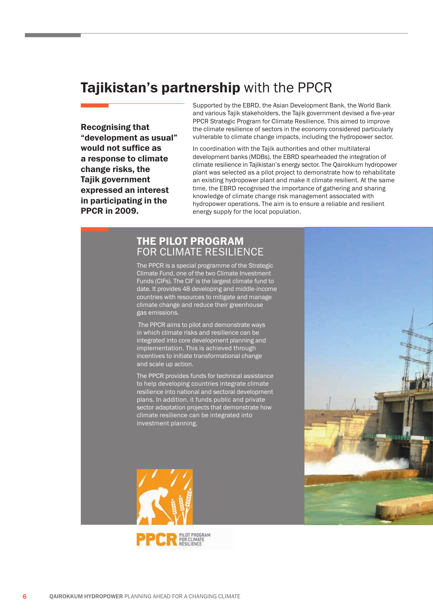# Tajikistan's partnership with the PPCR

Recognising that "development as usual" would not suffice as a response to climate change risks, the Tajik government expressed an interest in participating in the PPCR in 2009.

Supported by the EBRD, the Asian Development Bank, the World Bank and various Tajik stakeholders, the Tajik government devised a five-year PPCR Strategic Program for Climate Resilience. This aimed to improve the climate resilience of sectors in the economy considered particularly vulnerable to climate change impacts, including the hydropower sector.

In coordination with the Tajik authorities and other multilateral development banks (MDBs), the EBRD spearheaded the integration of climate resilience in Tajikistan's energy sector. The Qairokkum hydropower plant was selected as a pilot project to demonstrate how to rehabilitate an existing hydropower plant and make it climate resilient. At the same time, the EBRD recognised the importance of gathering and sharing knowledge of climate change risk management associated with hydropower operations. The aim is to ensure a reliable and resilient energy supply for the local population.

## THE PILOT PROGRAM FOR CLIMATE RESILIENCE

The PPCR is a special programme of the Strategic Climate Fund, one of the two Climate Investment Funds (CIFs). The CIF is the largest climate fund to date. It provides 48 developing and middle-income countries with resources to mitigate and manage climate change and reduce their greenhouse gas emissions.

 The PPCR aims to pilot and demonstrate ways in which climate risks and resilience can be integrated into core development planning and implementation. This is achieved through incentives to initiate transformational change and scale up action.

The PPCR provides funds for technical assistance to help developing countries integrate climate silience into national and sectoral development plans. In addition, it funds public and private ector adaptation projects that demonstrate how climate resilience can be integrated into investment planning.



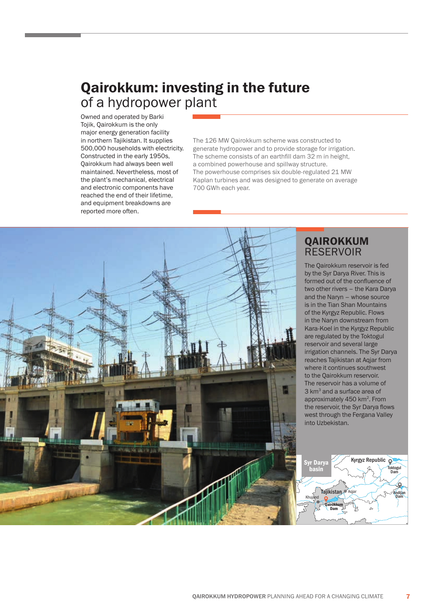# Qairokkum: investing in the future of a hydropower plant

Owned and operated by Barki Tojik, Qairokkum is the only major energy generation facility in northern Tajikistan. It supplies 500,000 households with electricity. Constructed in the early 1950s, Qairokkum had always been well maintained. Nevertheless, most of the plant's mechanical, electrical and electronic components have reached the end of their lifetime, and equipment breakdowns are reported more often.

The 126 MW Qairokkum scheme was constructed to generate hydropower and to provide storage for irrigation. The scheme consists of an earthfill dam 32 m in height, a combined powerhouse and spillway structure. The powerhouse comprises six double-regulated 21 MW Kaplan turbines and was designed to generate on average 700 GWh each year.



## QAIROKKUM **RESERVOIR**

The Qairokkum reservoir is fed by the Syr Darya River. This is formed out of the confluence of two other rivers – the Kara Darya and the Naryn – whose source is in the Tian Shan Mountains of the Kyrgyz Republic. Flows in the Naryn downstream from Kara-Koel in the Kyrgyz Republic are regulated by the Toktogul reservoir and several large irrigation channels. The Syr Darya reaches Tajikistan at Agjar from where it continues southwest to the Qairokkum reservoir. The reservoir has a volume of 3 km<sup>3</sup> and a surface area of approximately 450 km2. From the reservoir, the Syr Darya flows west through the Fergana Valley into Uzbekistan.

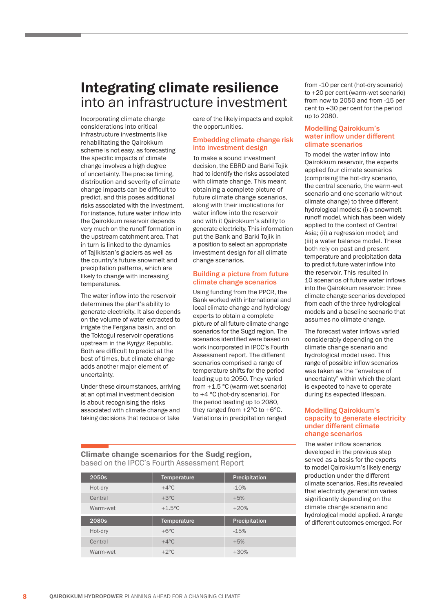## Integrating climate resilience into an infrastructure investment

Incorporating climate change considerations into critical infrastructure investments like rehabilitating the Qairokkum scheme is not easy, as forecasting the specific impacts of climate change involves a high degree of uncertainty. The precise timing, distribution and severity of climate change impacts can be difficult to predict, and this poses additional risks associated with the investment. For instance, future water inflow into the Qairokkum reservoir depends very much on the runoff formation in the upstream catchment area. That in turn is linked to the dynamics of Tajikistan's glaciers as well as the country's future snowmelt and precipitation patterns, which are likely to change with increasing temperatures.

The water inflow into the reservoir determines the plant's ability to generate electricity. It also depends on the volume of water extracted to irrigate the Fergana basin, and on the Toktogul reservoir operations upstream in the Kyrgyz Republic. Both are difficult to predict at the best of times, but climate change adds another major element of uncertainty.

Under these circumstances, arriving at an optimal investment decision is about recognising the risks associated with climate change and taking decisions that reduce or take

care of the likely impacts and exploit the opportunities.

### Embedding climate change risk into investment design

To make a sound investment decision, the EBRD and Barki Tojik had to identify the risks associated with climate change. This meant obtaining a complete picture of future climate change scenarios, along with their implications for water inflow into the reservoir and with it Qairokkum's ability to generate electricity. This information put the Bank and Barki Tojik in a position to select an appropriate investment design for all climate change scenarios.

## Building a picture from future climate change scenarios

Using funding from the PPCR, the Bank worked with international and local climate change and hydrology experts to obtain a complete picture of all future climate change scenarios for the Sugd region. The scenarios identified were based on work incorporated in IPCC's Fourth Assessment report. The different scenarios comprised a range of temperature shifts for the period leading up to 2050. They varied from +1.5 °C (warm-wet scenario) to +4 °C (hot-dry scenario). For the period leading up to 2080, they ranged from  $+2^{\circ}$ C to  $+6^{\circ}$ C. Variations in precipitation ranged

Climate change scenarios for the Sudg region, based on the IPCC's Fourth Assessment Report

| 2050s    | Temperature        | Precipitation |
|----------|--------------------|---------------|
| Hot-dry  | $+4^{\circ}$ C     | $-10%$        |
| Central  | $+3^{\circ}$ C     | $+5%$         |
| Warm-wet | $+1.5^{\circ}$ C   | $+20%$        |
|          |                    |               |
| 2080s    | <b>Temperature</b> | Precipitation |
| Hot-dry  | $+6^{\circ}$ C     | $-15%$        |
| Central  | $+4^{\circ}$ C     | $+5%$         |

from -10 per cent (hot-dry scenario) to +20 per cent (warm-wet scenario) from now to 2050 and from -15 per cent to +30 per cent for the period up to 2080.

### Modelling Qairokkum's water inflow under different climate scenarios

To model the water inflow into Qairokkum reservoir, the experts applied four climate scenarios (comprising the hot-dry scenario, the central scenario, the warm-wet scenario and one scenario without climate change) to three different hydrological models: (i) a snowmelt runoff model, which has been widely applied to the context of Central Asia; (ii) a regression model; and (iii) a water balance model. These both rely on past and present temperature and precipitation data to predict future water inflow into the reservoir. This resulted in 10 scenarios of future water inflows into the Qairokkum reservoir: three climate change scenarios developed from each of the three hydrological models and a baseline scenario that assumes no climate change.

The forecast water inflows varied considerably depending on the climate change scenario and hydrological model used. This range of possible inflow scenarios was taken as the "envelope of uncertainty" within which the plant is expected to have to operate during its expected lifespan.

### Modelling Qairokkum's capacity to generate electricity under different climate change scenarios

The water inflow scenarios developed in the previous step served as a basis for the experts to model Qairokkum's likely energy production under the different climate scenarios. Results revealed that electricity generation varies significantly depending on the climate change scenario and hydrological model applied. A range of different outcomes emerged. For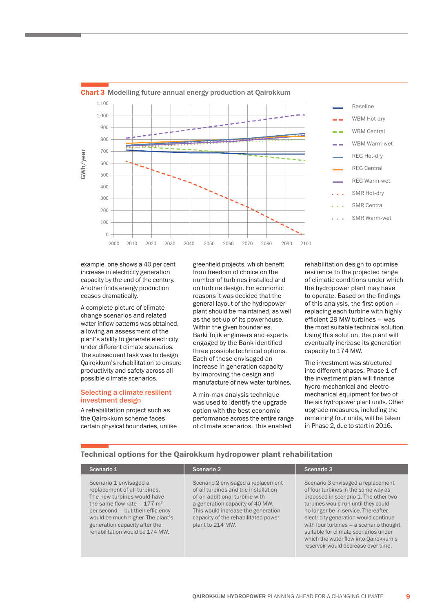

### Chart 3 Modelling future annual energy production at Qairokkum

example, one shows a 40 per cent increase in electricity generation capacity by the end of the century. Another finds energy production ceases dramatically.

A complete picture of climate change scenarios and related water inflow patterns was obtained, allowing an assessment of the plant's ability to generate electricity under different climate scenarios. The subsequent task was to design Qairokkum's rehabilitation to ensure productivity and safety across all possible climate scenarios.

### Selecting a climate resilient investment design

A rehabilitation project such as the Qairokkum scheme faces certain physical boundaries, unlike greenfield projects, which benefit from freedom of choice on the number of turbines installed and on turbine design. For economic reasons it was decided that the general layout of the hydropower plant should be maintained, as well as the set-up of its powerhouse. Within the given boundaries, Barki Tojik engineers and experts engaged by the Bank identified three possible technical options. Each of these envisaged an increase in generation capacity by improving the design and manufacture of new water turbines.

A min-max analysis technique was used to identify the upgrade option with the best economic performance across the entire range of climate scenarios. This enabled

rehabilitation design to optimise resilience to the projected range of climatic conditions under which the hydropower plant may have to operate. Based on the findings of this analysis, the first option – replacing each turbine with highly efficient 29 MW turbines – was the most suitable technical solution. Using this solution, the plant will eventually increase its generation capacity to 174 MW.

The investment was structured into different phases. Phase 1 of the investment plan will finance hydro-mechanical and electromechanical equipment for two of the six hydropower plant units. Other upgrade measures, including the remaining four units, will be taken in Phase 2, due to start in 2016.

#### Scenario 1 Scenario 2 Scenario 2 Scenario 3 Scenario 3 Scenario 1 envisaged a replacement of all turbines. The new turbines would have the same flow rate  $-177 \text{ m}^3$ per second – but their efficiency would be much higher. The plant's generation capacity after the rehabilitation would be 174 MW. Scenario 2 envisaged a replacement of all turbines and the installation of an additional turbine with a generation capacity of 40 MW. This would increase the generation capacity of the rehabilitated power plant to 214 MW. Scenario 3 envisaged a replacement of four turbines in the same way as proposed in scenario 1. The other two turbines would run until they could no longer be in service. Thereafter, electricity generation would continue with four turbines – a scenario thought suitable for climate scenarios under which the water flow into Qairokkum's reservoir would decrease over time.

## Technical options for the Qairokkum hydropower plant rehabilitation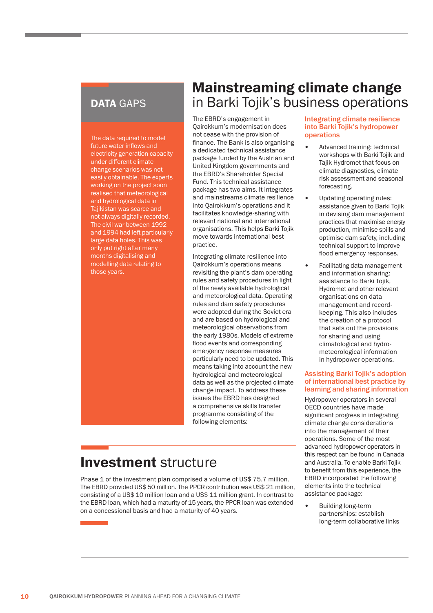## DATA GAPS

The data required to model future water inflows and electricity generation capacity under different climate change scenarios was not easily obtainable. The experts working on the project soon realised that meteorological and hydrological data in Tajikistan was scarce and not always digitally recorded. The civil war between 1992 and 1994 had left particularly large data holes. This was only put right after many months digitalising and modelling data relating to those years.

## Mainstreaming climate change in Barki Tojik's business operations

The EBRD's engagement in Qairokkum's modernisation does not cease with the provision of finance. The Bank is also organising a dedicated technical assistance package funded by the Austrian and United Kingdom governments and the EBRD's Shareholder Special Fund. This technical assistance package has two aims. It integrates and mainstreams climate resilience into Qairokkum's operations and it facilitates knowledge-sharing with relevant national and international organisations. This helps Barki Tojik move towards international best practice.

Integrating climate resilience into Qairokkum's operations means revisiting the plant's dam operating rules and safety procedures in light of the newly available hydrological and meteorological data. Operating rules and dam safety procedures were adopted during the Soviet era and are based on hydrological and meteorological observations from the early 1980s. Models of extreme flood events and corresponding emergency response measures particularly need to be updated. This means taking into account the new hydrological and meteorological data as well as the projected climate change impact. To address these issues the EBRD has designed a comprehensive skills transfer programme consisting of the following elements:

# Investment structure

Phase 1 of the investment plan comprised a volume of US\$ 75.7 million. The EBRD provided US\$ 50 million. The PPCR contribution was US\$ 21 million, consisting of a US\$ 10 million loan and a US\$ 11 million grant. In contrast to the EBRD loan, which had a maturity of 15 years, the PPCR loan was extended on a concessional basis and had a maturity of 40 years.

### Integrating climate resilience into Barki Tojik's hydropower operations

- Advanced training: technical workshops with Barki Tojik and Tajik Hydromet that focus on climate diagnostics, climate risk assessment and seasonal forecasting.
- Updating operating rules: assistance given to Barki Tojik in devising dam management practices that maximise energy production, minimise spills and optimise dam safety, including technical support to improve flood emergency responses.
- Facilitating data management and information sharing: assistance to Barki Tojik, Hydromet and other relevant organisations on data management and recordkeeping. This also includes the creation of a protocol that sets out the provisions for sharing and using climatological and hydrometeorological information in hydropower operations.

## Assisting Barki Tojik's adoption of international best practice by learning and sharing information

Hydropower operators in several OECD countries have made significant progress in integrating climate change considerations into the management of their operations. Some of the most advanced hydropower operators in this respect can be found in Canada and Australia. To enable Barki Tojik to benefit from this experience, the EBRD incorporated the following elements into the technical assistance package:

• Building long-term partnerships: establish long-term collaborative links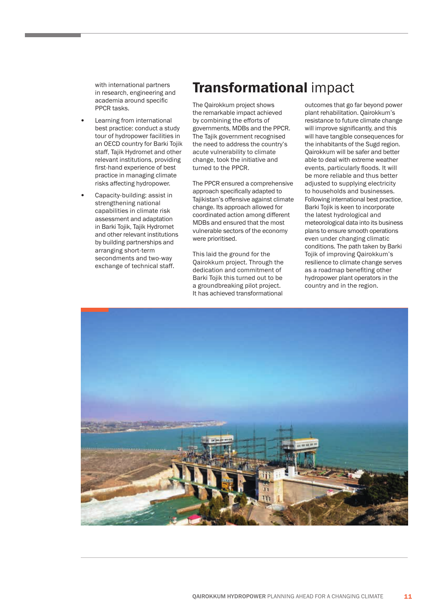with international partners in research, engineering and academia around specific PPCR tasks.

- Learning from international best practice: conduct a study tour of hydropower facilities in an OECD country for Barki Tojik staff, Tajik Hydromet and other relevant institutions, providing first-hand experience of best practice in managing climate risks affecting hydropower.
- Capacity-building: assist in strengthening national capabilities in climate risk assessment and adaptation in Barki Tojik, Tajik Hydromet and other relevant institutions by building partnerships and arranging short-term secondments and two-way exchange of technical staff.

# Transformational impact

The Qairokkum project shows the remarkable impact achieved by combining the efforts of governments, MDBs and the PPCR. The Tajik government recognised the need to address the country's acute vulnerability to climate change, took the initiative and turned to the PPCR.

The PPCR ensured a comprehensive approach specifically adapted to Tajikistan's offensive against climate change. Its approach allowed for coordinated action among different MDBs and ensured that the most vulnerable sectors of the economy were prioritised.

This laid the ground for the Qairokkum project. Through the dedication and commitment of Barki Tojik this turned out to be a groundbreaking pilot project. It has achieved transformational

outcomes that go far beyond power plant rehabilitation. Qairokkum's resistance to future climate change will improve significantly, and this will have tangible consequences for the inhabitants of the Sugd region. Qairokkum will be safer and better able to deal with extreme weather events, particularly floods. It will be more reliable and thus better adjusted to supplying electricity to households and businesses. Following international best practice, Barki Tojik is keen to incorporate the latest hydrological and meteorological data into its business plans to ensure smooth operations even under changing climatic conditions. The path taken by Barki Tojik of improving Qairokkum's resilience to climate change serves as a roadmap benefiting other hydropower plant operators in the country and in the region.